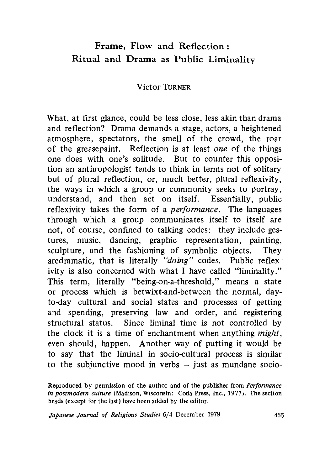# **Frame, Flow and Reflection : Ritual and Drama as Public Liminality**

# Victor TURNER

What, at first glance, could be less close, less akin than drama and reflection? Drama demands a stage, actors, a heightened atmosphere, spectators, the smell of the crowd, the roar of the greasepaint. Reflection is at least *one* of the things one does with one's solitude. But to counter this opposition an anthropologist tends to think in terms not of solitary but of plural reflection, or, much better, plural reflexivity, the ways in which a group or community seeks to portray, understand, and then act on itself. Essentially, public reflexivity takes the form of a *performance.* The languages through which a group communicates itself to itself are not, of course, confined to talking codes: they include gestures, music, dancing, graphic representation, painting, sculpture, and the fashioning of symbolic objects. They aredramatic, that is literally *"doing"* codes. Public reflexivity is also concerned with what I have called "liminality." This term, literally "being~on-a-threshold," means a state or process which is betwixt-and-between the normal, dayto-day cultural and social states and processes of getting and spending, preserving law and order, and registering structural status. Since liminal time is not controlled by the clock it is a time of enchantment when anything *might* even should, happen. Another way of putting it would be to say that the liminal in socio-cultural process is similar to the subjunctive mood in verbs — just as mundane socio-

Reproduced by permission of the author and of the publisher from *Performance in postmodern culture* (Madison, Wisconsin: Coda Press, Inc., 1977). The section heads (except for the last) have been added by the editor.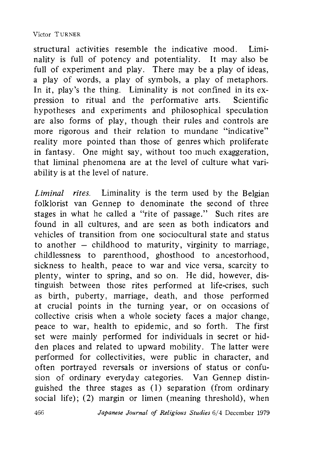structural activities resemble the indicative mood. Liminality is full of potency and potentiality. It may also be full of experiment and play. There may be a play of ideas, a play of words, a play of symbols, a play of metaphors. In it, play's the thing. Liminality is not confined in its expression to ritual and the performative arts. Scientific hypotheses and experiments and philosophical speculation are also forms of play, though their rules and controls are more rigorous and their relation to mundane "indicative" reality more pointed than those of genres which proliferate in fantasy. One might say, without too much exaggeration, that liminal phenomena are at the level of culture what variability is at the level of nature.

*Liminal rites,* Liminality is the term used by the Belgian folklorist van Gennep to denominate the second of three stages in what he called a "rite of passage." Such rites are found in all cultures, and are seen as both indicators and vehicles of transition from one sociocultural state and status to another — childhood to maturity, virginity to marriage, childlessness to parenthood, ghosthood to ancestorhood, sickness to health, peace to war and vice versa, scarcity to plenty, winter to spring, and so on. He did, however, distinguish between those rites performed at life-crises, such as birth, puberty, marriage, death, and those performed at crucial points in the turning year, or on occasions of collective crisis when a whole society faces a major change, peace to war, health to epidemic, and so forth. The first set were mainly performed for individuals in secret or hidden places and related to upward mobility. The latter were performed for collectivities, were public in character, and often portrayed reversals or inversions of status or confusion of ordinary everyday categories. Van Gennep distinguished the three stages as  $(1)$  separation (from ordinary social life); (2) margin or limen (meaning threshold), when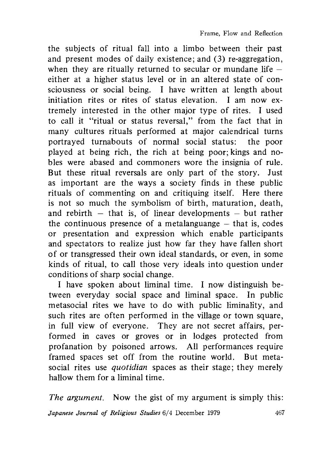the subjects of ritual fall into a limbo between their past and present modes of daily existence; and (3) re-aggregation, when they are ritually returned to secular or mundane life  $$ either at a higher status level or in an altered state of consciousness or social being. I have written at length about initiation rites or rites of status elevation. I am now extremely interested in the other major type of rites. I used to call it "ritual or status reversal," from the fact that in many cultures rituals performed at major calendrical turns portrayed turnabouts of normal social status: the poor played at being rich, the rich at being poor; kings and nobles were abased and commoners wore the insignia of rule. But these ritual reversals are only part of the story. Just as important are the ways a society finds in these public rituals of commenting on and critiquing itself. Here there is not so much the symbolism of birth, maturation, death, and rebirth  $-$  that is, of linear developments  $-$  but rather the continuous presence of a metalanguange *—* that is, codes or presentation and expression which enable participants and spectators to realize just how far they have fallen short of or transgressed their own ideal standards, or even, in some kinds of ritual, to call those very ideals into question under conditions of sharp social change.

I have spoken about liminal time. I now distinguish between everyday social space and liminal space. In public metasocial rites we have to do with public liminality, and such rites are often performed in the village or town square, in full view of everyone. They are not secret affairs, performed in caves or groves or in lodges protected from profanation by poisoned arrows. All performances require framed spaces set off from the routine world. But metasocial rites use *quotidian* spaces as their stage; they merely hallow them for a liminal time.

*The argument.* Now the gist of my argument is simply this: *Japanese Journal of Religious Studies* 6/4 December 1979 467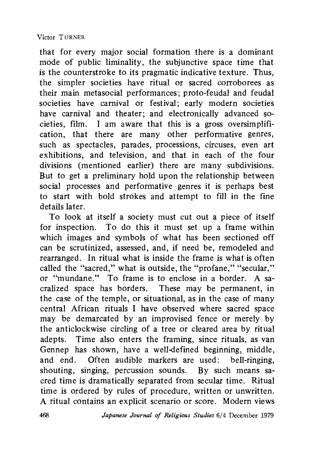that for every major social formation there is a dominant mode of public liminality, the subjunctive space time that is the counterstroke to its pragmatic indicative texture. Thus, the simpler societies have ritual or sacred corroborees as their main metasocial performances; proto-feudal and feudal societies have carnival or festival; early modern societies have carnival and theater; and electronically advanced societies, film. I am aware that this is a gross oversimplification, that there are many other performative genres, such as spectacles, parades, processions, circuses, even art exhibitions, and television, and that in each of the four divisions (mentioned earlier) there are many subdivisions. But to get a preliminary hold upon the relationship between social processes and performative genres it is perhaps best to start with bold strokes and attempt to fill in the fine details later.

To look at itself a society must cut out a piece of itself for inspection. To do this it must set up a frame within which images and symbols of what has been sectioned off can be scrutinized, assessed, and, if need be, remodeled and rearranged. In ritual what is inside the frame is what is often called the "sacred," what is outside, the "profane," "secular," or "mundane." To frame is to enclose in a border. A sacralized space has borders. These may be permanent, in the case of the temple, or situational, as in the case of many central African rituals I have observed where sacred space may be demarcated by an improvised fence or merely by the anticlockwise circling of a tree or cleared area by ritual adepts. Time also enters the framing, since rituals, as van Gennep has shown, have a well-defined beginning, middle, and end. Often audible markers are used: bell-ringing, shouting, singing, percussion sounds. By such means sacred time is dramatically separated from secular time. Ritual time is ordered by rules of procedure, written or unwritten. A ritual contains an explicit scenario or score. Modern views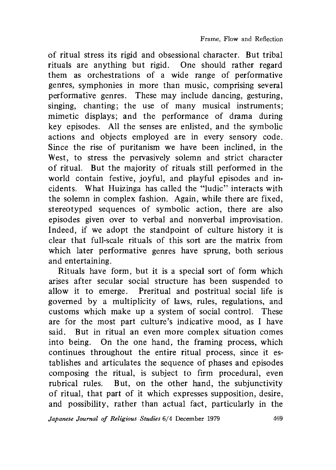of ritual stress its rigid and obsessional character. But tribal rituals are anything but rigid. One should rather regard them as orchestrations of a wide range of performative genres, symphonies in more than music, comprising several performative genres. These may include dancing, gesturing, singing, chanting; the use of many musical instruments; mimetic displays; and the performance of drama during key episodes. All the senses are enlisted, and the symbolic actions and objects employed are in every sensory code. Since the rise of puritanism we have been inclined, in the West, to stress the pervasively solemn and strict character of ritual. But the majority of rituals still performed in the world contain festive, joyful, and playful episodes and incidents. What Huizinga has called the "ludic" interacts with the solemn in complex fashion. Again, while there are fixed, stereotyped sequences of symbolic action, there are also episodes given over to verbal and nonverbal improvisation. Indeed, if we adopt the standpoint of culture history it is clear that full-scale rituals of this sort are the matrix from which later performative genres have sprung, both serious and entertaining.

Rituals have form, but it is a special sort of form which arises after secular social structure has been suspended to allow it to emerge. Preritual and postritual social life is governed by a multiplicity of laws, rules, regulations, and customs which make up a system of social control. These are for the most part culture's indicative mood, as I have said. But in ritual an even more complex situation comes into being. On the one hand, the framing process, which continues throughout the entire ritual process, since it establishes and articulates the sequence of phases and episodes composing the ritual, is subject to firm procedural, even rubrical rules. But, on the other hand, the subjunctivity of ritual, that part of it which expresses supposition, desire, and possibility, rather than actual fact, particularly in the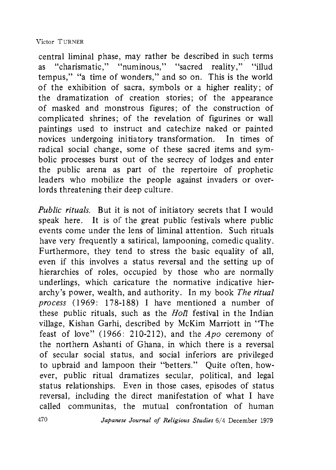central liminal phase, may rather be described in such terms as "charismatic," "numinous," "sacred reality," "illud tempus," "a time of wonders," and so on. This is the world of the exhibition of sacra, symbols or a higher reality; of the dramatization of creation stories; of the appearance of masked and monstrous figures; of the construction of complicated shrines; of the revelation of figurines or wall paintings used to instruct and catechize naked or painted novices undergoing initiatory transformation. In times of radical social change, some of these sacred items and symbolic processes burst out of the secrecy of lodges and enter the public arena as part of the repertoire of prophetic leaders who mobilize the people against invaders or overlords threatening their deep culture.

*Public rituals.* But it is not of initiatory secrets that I would speak here. It is of the great public festivals where public events come under the lens of liminal attention. Such rituals have very frequently a satirical, lampooning, comedic quality. Furthermore, they tend to stress the basic equality of all, even if this involves a status reversal and the setting up of hierarchies of roles, occupied by those who are normally underlings, which caricature the normative indicative hierarchy's power, wealth, and authority. In my book *The ritual process* (1969: 178-188) I have mentioned a number of these public rituals, such as the *Hoti* festival in the Indian village, Kishan Garhi, described by McKim Marriott in "The feast of love" (1966: 210-212), and the *Apo* ceremony of the northern Ashanti of Ghana, in which there is a reversal of secular social status, and social inferiors are privileged to upbraid and lampoon their "betters." Quite often, however, public ritual dramatizes secular, political, and legal status relationships. Even in those cases, episodes of status reversal, including the direct manifestation of what I have called communitas, the mutual confrontation of human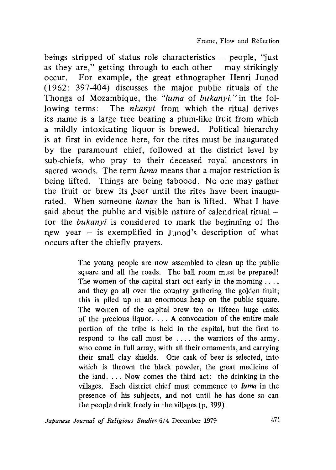beings stripped of status role characteristics — people, "just as they are," getting through to each other  $-$  may strikingly occur. For example, the great ethnographer Henri Junod (1962: 397-404) discusses the major public rituals of the Thonga of Mozambique, the "*luma* of *bukanyi*," in the following terms: The *nkanyi* from which the ritual derives its name is a large tree bearing a plum-like fruit from which a mildly intoxicating liquor is brewed. Political hierarchy is at first in evidence here, for the rites must be inaugurated by the paramount chief, followed at the district level by sub-chiefs, who pray to their deceased royal ancestors in sacred woods. The term *luma* means that a major restriction is being lifted. Things are being tabooed. No one may gather the fruit or brew its beer until the rites have been inaugurated. When someone *lumas* the ban is lifted. What I have said about the public and visible nature of calendrical ritual for the *bukanyi* is considered to mark the beginning of the new year  $-$  is exemplified in Junod's description of what occurs after the chiefly prayers.

> The young people are now assembled to clean up the public square and all the roads. The ball room must be prepared! The women of the capital start out early in the morning .... and they go all over the country gathering the golden fruit; this is piled up in an enormous heap on the public square. The women of the capital brew ten or fifteen huge casks of the precious liquor. ... A convocation of the entire male portion of the tribe is held in the capital, but the first to respond to the call must be .... the warriors of the army, who come in full array, with all their ornaments, and carrying their small clay shields. One cask of beer is selected, into which is thrown the black powder, the great medicine of the land.… Now comes the third act: the drinking in the villages. Each district chief must commence to *luma* in the presence of his subjects, and not until he has done so can the people drink freely in the villages (p. 399).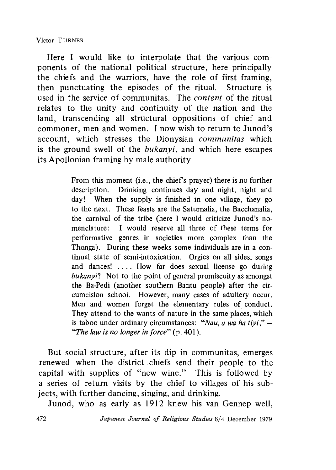Here I would like to interpolate that the various components of the national political structure, here principally the chiefs and the warriors, have the role of first framing, then punctuating the episodes of the ritual. Structure is used in the service of communitas. The *content* of the ritual relates to the unity and continuity of the nation and the land, transcending all structural oppositions of chief and commoner, men and women. I now wish to return to Junod's account, which stresses the Dionysian *communitas* which is the ground swell of the *bukanyi,* and which here escapes its Apollonian framing by male authority.

> From this moment (i.e., the chief's prayer) there is no further description. Drinking continues day and night, night and day! When the supply is finished in one village, they go to the next. These feasts are the Saturnalia, the Bacchanalia, the carnival of the tribe (here I would criticize Junod's nomenclature: I would reserve all three of these terms for performative genres in societies more complex than the Thonga). During these weeks some individuals are in a continual state of semi-intoxication. Orgies on all sides, songs and dances! .... How far does sexual license go during bukanyi? Not to the point of general promiscuity as amongst the Ba-Pedi (another southern Bantu people) after the circumcision school. However, many cases of adultery occur. Men and women forget the elementary rules of conduct. They attend to the wants of nature in the same places, which is taboo under ordinary circumstances: "Nau, a wa ha tiyi," -*"The law is no longer in force"* (p. 401).

But social structure, after its dip in communitas, emerges renewed when the district chiefs send their people to the capital with supplies of "new wine." This is followed by a series of return visits by the chief to villages of his subjects, with further dancing, singing, and drinking.

Junod, who as early as 1912 knew his van Gennep well,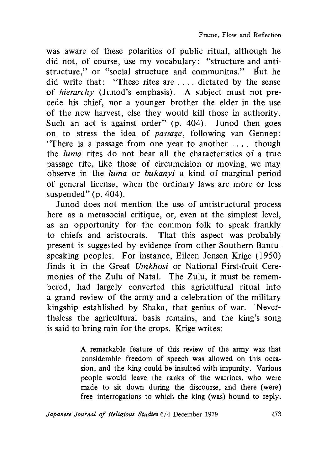was aware of these polarities of public ritual, although he did not, of course, use my vocabulary: "structure and antistructure," or "social structure and communitas." But he did write that: "These rites are .... dictated by the sense of *hierarchy* (Junod's emphasis). A subject must not precede his chief, nor a younger brother the elder in the use of the new harvest, else they would kill those in authority. Such an act is against order" (p. 404). Junod then goes on to stress the idea of *passage*, following van Gennep: 'There is a passage from one year to another .. . . though the *luma* rites do not bear all the characteristics of a true passage rite, like those of circumcision or moving, we may observe in the *luma* or *bukanyi* a kind of marginal period of general license, when the ordinary laws are more or less suspended"  $(p. 404)$ .

Junod does not mention the use of antistructural process here as a metasocial critique, or, even at the simplest level, as an opportunity for the common folk to speak frankly to chiefs and aristocrats. That this aspect was probably present is suggested by evidence from other Southern Bantuspeaking peoples. For instance, Eileen Jensen Krige (1950) finds it in the Great *Umkhosi* or National First-fruit Ceremonies of the Zulu of Natal. The Zulu, it must be remembered, had largely converted this agricultural ritual into a grand review of the army and a celebration of the military kingship established by Shaka, that genius of war. Nevertheless the agricultural basis remains, and the king's song is said to bring rain for the crops. Krige writes:

> A remarkable feature of this review of the army was that considerable freedom of speech was allowed on this occasion, and the king could be insulted with impunity. Various people would leave the ranks of the warriors, who were made to sit down during the discourse, and there (were) free interrogations to which the king (was) bound to reply.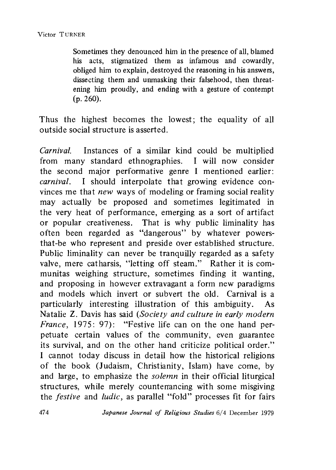Sometimes they denounced him in the presence of all, blamed his acts, stigmatized them as infamous and cowardly, obliged him to explain, destroyed the reasoning in his answers, dissecting them and unmasking their falsehood, then threatening him proudly, and ending with a gesture of contempt (p. 260).

Thus the highest becomes the lowest; the equality of all outside social structure is asserted.

*Carnival* Instances of a similar kind could be multiplied from many standard ethnographies. I will now consider the second major performative genre I mentioned earlier: *carnival.* I should interpolate that growing evidence convinces me that *new* ways of modeling or framing social reality may actually be proposed and sometimes legitimated in the very heat of performance, emerging as a sort of artifact or popular creativeness. That is why public liminality has often been regarded as "dangerous" by whatever powersthat-be who represent and preside over established structure. Public liminality can never be tranquilly regarded as a safety valve, mere catharsis, "letting off steam." Rather it is communitas weighing structure, sometimes finding it wanting, and proposing in however extravagant a form new paradigms and models which invert or subvert the old. Carnival is a particularly interesting illustration of this ambiguity. As Natalie Z. Davis has said *{Society and culture in early modern France*, 1975: 97): "Festive life can on the one hand perpetuate certain values of the community, even guarantee its survival, and on the other hand criticize political order." I cannot today discuss in detail how the historical religions of the book (Judaism, Christianity, Islam) have come, by and large, to emphasize the *solemn* in their official liturgical structures, while merely countenancing with some misgiving the *festive* and *ludic* as parallel "fold" processes fit for fairs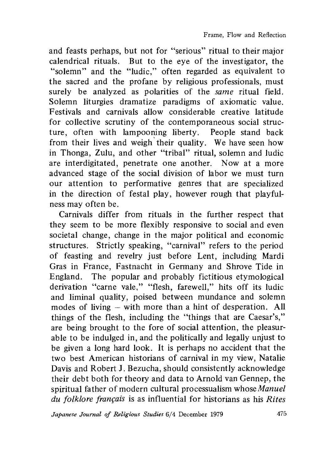and feasts perhaps, but not for "serious" ritual to their major calendrical rituals. But to the eye of the investigator, the "solemn" and the "ludic," often regarded as equivalent to the sacred and the profane by religious professionals, must surely be analyzed as polarities of the *same* ritual field. Solemn liturgies dramatize paradigms of axiomatic value. Festivals and carnivals allow considerable creative latitude for collective scrutiny of the contemporaneous social structure, often with lampooning liberty. People stand back from their lives and weigh their quality. We have seen how in Thonga, Zulu, and other "tribal" ritual, solemn and ludic are interdigitated, penetrate one another. Now at a more advanced stage of the social division of labor we must turn our attention to performative genres that are specialized in the direction of festal play, however rough that playfulness may often be.

Carnivals differ from rituals in the further respect that they seem to be more flexibly responsive to social and even societal change, change in the major political and economic structures. Strictly speaking, "carnival" refers to the period of feasting and revelry just before Lent, including Mardi Gras in France, Fastnacht in Germany and Shrove Tide in England. The popular and probably fictitious etymological derivation "carne vale," "flesh, farewell," hits off its ludic and liminal quality, poised between mundance and solemn modes of living — with more than a hint of desperation. All things of the flesh, including the "things that are Caesar's," are being brought to the fore of social attention, the pleasurable to be indulged in, and the politically and legally unjust to be given a long hard look. It is perhaps no accident that the two best American historians of carnival in my view, Natalie Davis and Robert J. Bezucha, should consistently acknowledge their debt both for theory and data to Arnold van Gennep, the spiritual father of modern cultural processualism whose Manuel *du folklore frangais* is as influential for historians as his *Rites*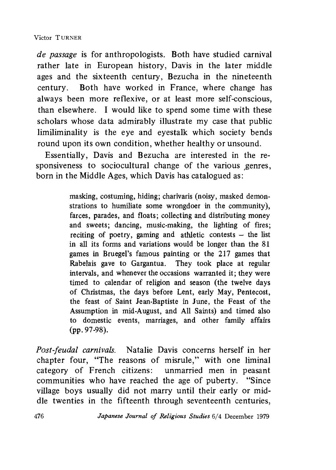*de passage* is for anthropologists. Both have studied carnival rather late in European history, Davis in the later middle ages and the sixteenth century, Bezucha in the nineteenth century. Both have worked in France, where change has always been more reflexive, or at least more self-conscious, than elsewhere. I would like to spend some time with these scholars whose data admirably illustrate my case that public limiliminality is the eye and eyestalk which society bends round upon its own condition, whether healthy or unsound.

Essentially, Davis and Bezucha are interested in the responsiveness to sociocultural change of the various genres, born in the Middle Ages, which Davis has catalogued as:

> masking, costuming, hiding; charivaris (noisy, masked demonstrations to humiliate some wrongdoer in the community), farces, parades, and floats; collecting and distributing money and sweets; dancing, music-making, the lighting of fires; reciting of poetry, gaming and athletic contests  $-$  the list in all its forms and variations would be longer than the 81 games in Bruegel's famous painting or the 217 games that Rabelais gave to Gargantua. They took place at regular intervals, and whenever the occasions warranted it; they were timed to calendar of religion and season (the twelve days of Christmas, the days before Lent, early May, Pentecost, the feast of Saint Jean-Baptiste in June, the Feast of the Assumption in mid-August, and All Saints) and timed also to domestic events, marriages, and other family affairs (pp. 97-98).

*Post-feudal carnivals.* Natalie Davis concerns herself in her chapter four, "The reasons of misrule," with one liminal category of French citizens: unmarried men in peasant communities who have reached the age of puberty. "Since village boys usually did not marry until their early or middle twenties in the fifteenth through seventeenth centuries,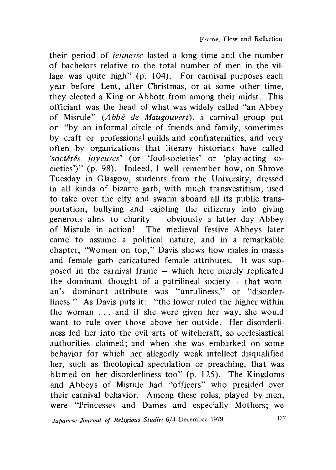their period of *jeunesse* lasted a long time and the number of bachelors relative to the total number of men in the village was quite high"  $(p. 104)$ . For carnival purposes each year before Lent, after Christmas, or at some other time, they elected a King or Abbott from among their midst. This officiant was the head of what was widely called "an Abbey of Misrule" *(Abbe de Maugouvert),* a carnival group put on "by an informal circle of friends and family, sometimes by craft or professional guilds and confraternities, and very often by organizations that literary historians have called 'sociétés joyeuses' (or 'fool-societies' or 'play-acting societies')" (p. 98). Indeed, I well remember how, on Shrove Tuesday in Glasgow, students from the University, dressed in all kinds of bizarre garb, with much transvestitism, used to take over the city and swarm aboard all its public transportation, bullying and cajoling the citizenry into giving generous alms to charity — obviously a latter day Abbey of Misrule in action! The medieval festive Abbeys later came to assume a political nature, and in a remarkable chapter, "Women on top," Davis shows how males in masks and female garb caricatured female attributes. It was supposed in the carnival frame — which here merely replicated the dominant thought of a patrilineal society  $-$  that woman's dominant attribute was "unruliness," or "disorderliness." As Davis puts it: "the lower ruled the higher within the woman . . . and if she were given her way, she would want to rule over those above her outside. Her disorderliness led her into the evil arts of witchcraft, so ecclesiastical authorities claimed; and when she was embarked on some behavior for which her allegedly weak intellect disqualified her, such as theological speculation or preaching, that was blamed on her disorderliness too"  $(p. 125)$ . The Kingdoms and Abbeys of Misrule had "officers" who presided over their carnival behavior. Among these roles, played by men, were "Princesses and Dames and especially Mothers; we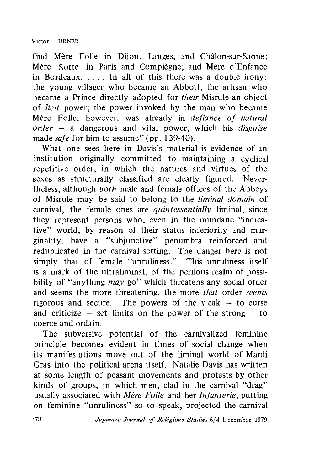find Mère Folle in Dijon, Langes, and Châlon-sur-Saône: Mère Sotte in Paris and Compiègne: and Mère d'Enfance in Bordeaux...... In all of this there was a double irony: the young villager who became an Abbott, the artisan who became a Prince directly adopted for *their* Misrule an object of *licit* power; the power invoked by the man who became Mere Folle, however, was already in *defiance of natural order* — a dangerous and vital power, which his *disguise* made *safe* for him to assume" (pp. 139-40).

What one sees here in Davis's material is evidence of an institution originally committed to maintaining a cyclical repetitive order, in which the natures and virtues of the sexes as structurally classified are clearly figured. Nevertheless, although *both* male and female offices of the Abbeys of Misrule may be said to belong to the *liminal domain* of carnival, the female ones are *quintessentially* liminal, since they represent persons who, even in the mundane "indicative" world, by reason of their status inferiority and marginality, have a "subjunctive" penumbra reinforced and reduplicated in the carnival setting. The danger here is not simply that of female "unruliness." This unruliness itself is a mark of the ultraliminal, of the perilous realm of possibility of "anything *may* go" which threatens any social order and seems the more threatening, the more *that* order *seems* rigorous and secure. The powers of the  $v$  eak  $-$  to curse and criticize  $-$  set limits on the power of the strong  $-$  to coerce and ordain.

The subversive potential of the carnivalized feminine principle becomes evident in times of social change when its manifestations move out of the liminal world of Mardi Gras into the political arena itself. Natalie Davis has written at some length of peasant movements and protests by other kinds of groups, in which men, clad in the carnival "drag" usually associated with *Mere Folle* and her *Infanterie,* putting on feminine "unruliness" so to speak, projected the carnival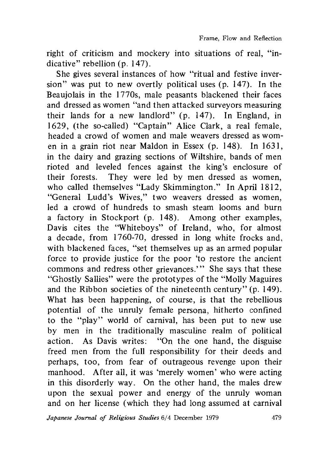right of criticism and mockery into situations of real "indicative" rebellion (p. 147).

She gives several instances of how "ritual and festive inversion" was put to new overtly political uses (p. 147). In the Beaujolais in the 1770s, male peasants blackened their faces and dressed as women "and then attacked surveyors measuring their lands for a new landlord" (p. 147). In England, in 1629, (the so-called) "Captain" Alice Clark, a real female, headed a crowd of women and male weavers dressed as women in a grain riot near Maldon in Essex (p. 148). In 1631, in the dairy and grazing sections of Wiltshire, bands of men rioted and leveled fences against the king's enclosure of their forests. They were led by men dressed as women, who called themselves "Lady Skimmington." In April 1812, "General Ludd's Wives," two weavers dressed as women, led a crowd of hundreds to smash steam looms and burn a factory in Stockport (p. 148). Among other examples, Davis cites the "Whiteboys" of Ireland, who, for almost a decade, from 1760-70, dressed in long white frocks and, with blackened faces, "set themselves up as an armed popular force to provide justice for the poor 'to restore the ancient commons and redress other grievances."" She says that these "Ghostly Sallies" were the prototypes of the "Molly Maguires and the Ribbon societies of the nineteenth century" (p. 149). What has been happening, of course, is that the rebellious potential of the unruly female persona, hitherto confined to the "play" world of carnival, has been put to new use by men in the traditionally masculine realm of political action. As Davis writes: "On the one hand, the disguise freed men from the full responsibility for their deeds and perhaps, too, from fear of outrageous revenge upon their manhood. After all, it was 'merely women' who were acting in this disorderly way. On the other hand, the males drew upon the sexual power and energy of the unruly woman and on her license (which they had long assumed at carnival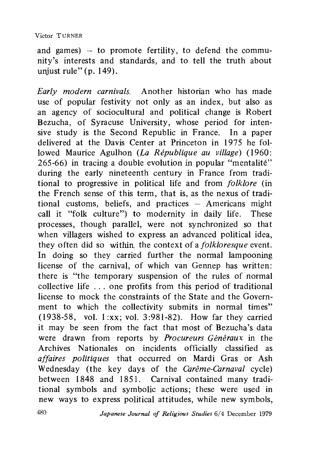and games) — to promote fertility, to defend the community's interests and standards, and to tell the truth about unjust rule"  $(p. 149)$ .

*Early modern carnivals.* Another historian who has made use of popular festivity not only as an index, but also as an agency of sociocultural and political change is Robert Bezucha, of Syracuse University, whose period for intensive study is the Second Republic in France. In a paper delivered at the Davis Center at Princeton in 1975 he followed Maurice Agulhon *(La Republique au village)* (1960:  $265-66$ ) in tracing a double evolution in popular "mentalité" during the early nineteenth century in France from traditional to progressive in political life and from *folklore* (in the French sense of this term, that is, as the nexus of traditional customs, beliefs, and practices — Americans might call it "folk culture") to modernity in daily life. These processes, though parallel, were not synchronized so that when villagers wished to express an advanced political idea, they often did so within the context of a *folkloresque* event. In doing so they carried further the normal lampooning license of the carnival, of which van Gennep has written: there is "the temporary suspension of the rules of normal collective life . . • one profits from this period of traditional license to mock the constraints of the State and the Government to which the collectivity submits in normal times"  $(1938-58, \text{ vol. } 1:xx; \text{ vol. } 3:981-82)$ . How far they carried it may be seen from the fact that most of Bezucha's data were drawn from reports by *Procureurs Généraux* in the Archives Nationales on incidents officially classified as *affaires politiques* that occurred on Mardi Gras or Ash Wednesday (the key days of the *Careme-Carnaval* cycle) between 1848 and 1851. Carnival contained many traditional symbols and symbolic actions; these were used in new ways to express political attitudes, while new symbols,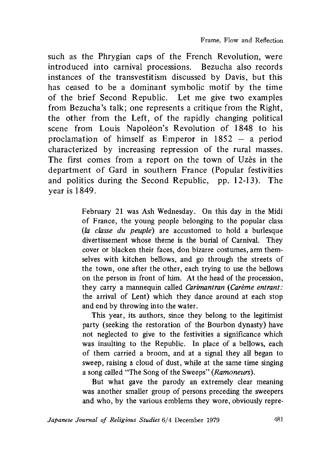such as the Phrygian caps of the French Revolution, were introduced into carnival processions. Bezucha also records instances of the transvestitism discussed by Davis, but this has ceased to be a dominant symbolic motif by the time of the brief Second Republic. Let me give two examples from Bezucha's talk; one represents a critique from the Right, the other from the Left, of the rapidly changing political scene from Louis Napoléon's Revolution of 1848 to his proclamation of himself as Emperor in 1852 — a period characterized by increasing repression of the rural masses. The first comes from a report on the town of Uzes in the department of Gard in southern France (Popular festivities and politics during the Second Republic, pp. 12-13). The year is 1849.

> February 21 was Ash Wednesday. On this day in the Midi of France, the young people belonging to the popular class *{la classe du peuple)* are accustomed to hold a burlesque divertissement whose theme is the burial of Carnival. They cover or blacken their faces, don bizarre costumes, arm themselves with kitchen bellows, and go through the streets of the town, one after the other, each trying to use the bellows on the person in front of him. At the head of the procession, they carry a mannequin called *Carimantran (Careme entrant:* the arrival of Lent) which they dance around at each stop and end by throwing into the water.

> This year, its authors, since they belong to the legitimist party (seeking the restoration of the Bourbon dynasty) have not neglected to give to the festivities a significance which was insulting to the Republic. In place of a bellows, each of them carried a broom, and at a signal they all began to sweep, raising a cloud of dust, while at the same time singing a song called ''The Song of the Sweeps" *(Ramoneurs).*

> But what gave the parody an extremely clear meaning was another smaller group of persons preceding the sweepers and who, by the various emblems they wore, obviously repre-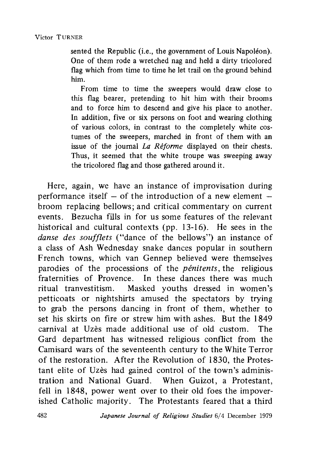sented the Republic (i.e., the government of Louis Napoléon). One of them rode a wretched nag and held a dirty tricolored flag which from time to time he let trail on the ground behind him.

From time to time the sweepers would draw close to this flag bearer, pretending to hit him with their brooms and to force him to descend and give his place to another. In addition, five or six persons on foot and wearing clothing of various colors, in contrast to the completely white costumes of the sweepers, marched in front of them with an issue of the journal *La Reforme* displayed on their chests. Thus, it seemed that the white troupe was sweeping away the tricolored flag and those gathered around it.

Here, again, we have an instance of improvisation during performance itself — of the introduction of a new element  broom replacing bellows; and critical commentary on current events. Bezucha fills in for us some features of the relevant historical and cultural contexts (pp. 13-16). He sees in the danse des soufflets ("dance of the bellows") an instance of a class of Ash Wednesday snake dances popular in southern French towns, which van Gennep believed were themselves parodies of the processions of the *penitents,* the religious fraternities of Provence. In these dances there was much ritual tranvestitism. Masked youths dressed in women's petticoats or nightshirts amused the spectators by trying to grab the persons dancing in front of them, whether to set his skirts on fire or strew him with ashes. But the 1849 carnival at Uzès made additional use of old custom. The Gard department has witnessed religious conflict from the Camisard wars of the seventeenth century to the White Terror of the restoration. After the Revolution of 1830, the Protestant elite of Uzès had gained control of the town's administration and National Guard. When Guizot, a Protestant, fell in 1848, power went over to their old foes the impoverished Catholic majority. The Protestants feared that a third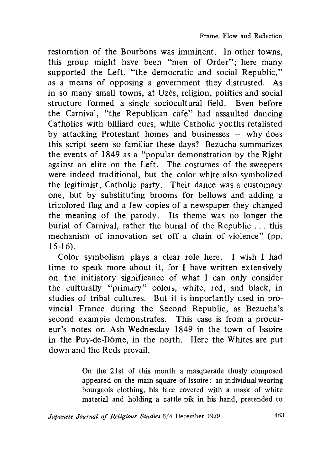restoration of the Bourbons was imminent. In other towns, this group might have been "men of Order"; here many supported the Left, "the democratic and social Republic." as a means of opposing a government they distrusted. As in so many small towns, at Uzes, religion, politics and social structure formed a single sociocultural field. Even before the Carnival, "the Republican cafe" had assaulted dancing Catholics with billiard cues, while Catholic youths retaliated by attacking Protestant homes and businesses — why does this script seem so familiar these days? Bezucha summarizes the events of 1849 as a "popular demonstration by the Right against an elite on the Left. The costumes of the sweepers were indeed traditional, but the color white also symbolized the legitimist, Catholic party. Their dance was a customary one, but by substituting brooms for bellows and adding a tricolored flag and a few copies of a newspaper they changed the meaning of the parody. Its theme was no longer the burial of Carnival, rather the burial of the Republic . . . this mechanism of innovation set off a chain of violence" (pp. 15-16).

Color symbolism plays a clear role here. I wish I had time to speak more about it, for I have written extensively on the initiatory significance of what I can only consider the culturally "primary" colors, white, red,and black, in studies of tribal cultures. But it is importantly used in provincial France during the Second Republic, as Bezucha's second example demonstrates. This case is from a procureur's notes on Ash Wednesday 1849 in the town of Issoire in the Puy-de-Dome, in the north. Here the Whites are put down and the Reds prevail.

> On the 21st of this month a masquerade thusly composed appeared on the main square of Issoire: an individual wearing bourgeois clothing, his face covered with a mask of white material and holding a cattle pik in his hand, pretended to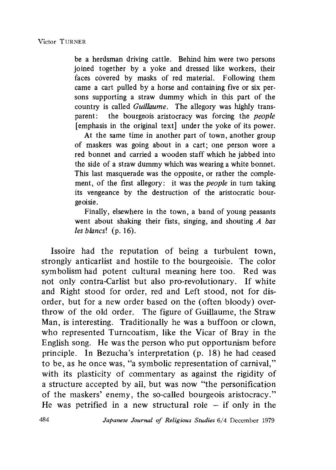be a herdsman driving cattle. Behind him were two persons joined together by a yoke and dressed like workers, their faces covered by masks of red material. Following them came a cart pulled by a horse and containing five or six persons supporting a straw dummy which in this part of the country is called *Guillaume.* The allegory was highly transparent: the bourgeois aristocracy was forcing the *people* [emphasis in the original text] under the yoke of its power.

At the same time in another part of town, another group of maskers was going about in a cart; one person wore a red bonnet and carried a wooden staff which he jabbed into the side of a straw dummy which was wearing a white bonnet. This last masquerade was the opposite, or rather the complement, of the first allegory: it was the *people* in turn taking its vengeance by the destruction of the aristocratic bourgeoisie.

Finally, elsewhere in the town, a band of young peasants went about shaking their fists, singing, and shouting *A bas les bhncs\* (p. 16).

Issoire had the reputation of being a turbulent town, strongly anticarlist and hostile to the bourgeoisie. The color symbolism had potent cultural meaning here too. Red was not only contra-Carlist but also pro-revolutionary. If white and Right stood for order, red and Left stood, not for disorder, but for a new order based on the (often bloody) overthrow of the old order. The figure of Guillaume, the Straw Man, is interesting. Traditionally he was a buffoon or clown, who represented Turncoatism, like the Vicar of Bray in the English song. He was the person who put opportunism before principle. In Bezucha's interpretation (p. 18) he had ceased to be, as he once was, "a symbolic representation of carnival," with its plasticity of commentary as against the rigidity of a structure accepted by all, but was now "the personification of the maskers' enemy, the so-called bourgeois aristocracy." He was petrified in a new structural role  $-$  if only in the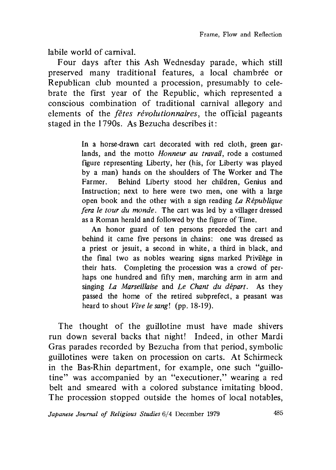labile world of carnival.

Four days after this Ash Wednesday parade, which still preserved many traditional features, a local chambrée or Republican club mounted a procession, presumably to celebrate the first year of the Republic, which represented a conscious combination of traditional carnival allegory and elements of the *fetes revolutionnaires,* the official pageants staged in the 1790s. As Bezucha describes it:

> In a horse-drawn cart decorated with red cloth, green garlands, and the motto *Honneur au travail,* rode a costumed figure representing Liberty, her (his, for Liberty was played by a man) hands on the shoulders of The Worker and The Farmer. Behind Liberty stood her children, Genius and Instruction; next to here were two men, one with a large open book and the other with a sign reading *La Republique fera le tour du monde*. The cart was led by a villager dressed as a Roman herald and followed by the figure of Time.

> An honor guard of ten persons preceded the cart and behind it came five persons in chains: one was dressed as a priest or jesuit, a second in white, a third in black, and the final two as nobles wearing signs marked Privilege in their hats. Completing the procession was a crowd of perhaps one hundred and fifty men, marching arm in arm and singing *La Marseillaise* and *Le Chant du depart.* As they passed the home of the retired subprefect, a peasant was heard to shout *Vive le sangl* (pp. 18-19).

The thought of the guillotine must have made shivers run down several backs that night! Indeed, in other Mardi Gras parades recorded by Bezucha from that period, symbolic guillotines were taken on procession on carts. At Schirmeck in the Bas-Rhin department, for example, one such "guillotine" was accompanied by an "executioner," wearing a red belt and smeared with a colored substance imitating blood. The procession stopped outside the homes of local notables,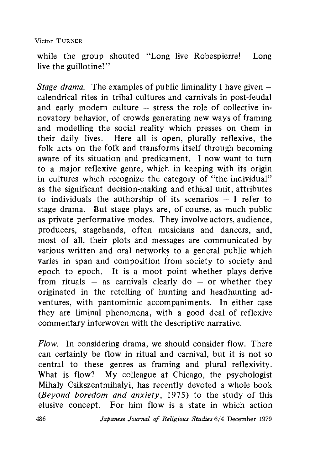while the group shouted "Long live Robespierre! Long live the guillotine!"

*Stage drama.* The examples of public liminality I have given calendrical rites in tribal cultures and carnivals in post-feudal and early modem culture — stress the role of collective innovatory behavior, of crowds generating new ways of framing and modelling the social reality which presses on them in their daily lives. Here all is open, plurally reflexive, the folk acts on the folk and transforms itself through becoming aware of its situation and predicament. I now want to turn to a major reflexive genre, which in keeping with its origin in cultures which recognize the category of "the individual" as the significant decision-making and ethical unit, attributes to individuals the authorship of its scenarios — I refer to stage drama. But stage plays are, of course, as much public as private performative modes. They involve actors, audience, producers, stagehands, often musicians and dancers, and, most of all, their plots and messages are communicated by various written and oral networks to a general public which varies in span and composition from society to society and epoch to epoch. It is a moot point whether plays derive from rituals  $-$  as carnivals clearly do  $-$  or whether they originated in the retelling of hunting and headhunting adventures, with pantomimic accompaniments. In either case they are liminal phenomena, with a good deal of reflexive commentary interwoven with the descriptive narrative.

*Flow.* In considering drama, we should consider flow. There can certainly be flow in ritual and carnival, but it is not so central to these genres as framing and plural reflexivity. What is flow? My colleague at Chicago, the psychologist Mihaly Csikszentmihalyi, has recently devoted a whole book *{Beyond boredom and anxiety* 1975) to the study of this elusive concept. For him flow is a state in which action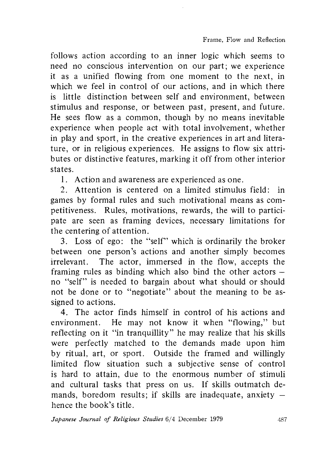follows action according to an inner logic which seems to need no conscious intervention on our part; we experience it as a unified flowing from one moment to the next, in which we feel in control of our actions, and in which there is little distinction between self and environment, between stimulus and response, or between past, present, and future. He sees flow as a common, though by no means inevitable experience when people act with total involvement, whether in play and sport, in the creative experiences in art and literature, or in religious experiences. He assigns to flow six attributes or distinctive features, marking it off from other interior states.

1. Action and awareness are experienced as one.

2. Attention is centered on a limited stimulus field: in games by formal rules and such motivational means as competitiveness. Rules, motivations, rewards, the will to participate are seen as framing devices, necessary limitations for the centering of attention.

3. Loss of ego: the "self" which is ordinarily the broker between one person's actions and another simply becomes irrelevant. The actor, immersed in the flow, accepts the framing rules as binding which also bind the other actors no "self" is needed to bargain about what should or should not be done or to "negotiate" about the meaning to be assigned to actions.

4. The actor finds himself in control of his actions and environment. He may not know it when "flowing," but reflecting on it "in tranquillity" he may realize that his skills were perfectly matched to the demands made upon him by ritual, art, or sport. Outside the framed and willingly limited flow situation such a subjective sense of control is hard to attain, due to the enormous number of stimuli and cultural tasks that press on us. If skills outmatch demands, boredom results; if skills are inadequate, anxiety hence the book's title.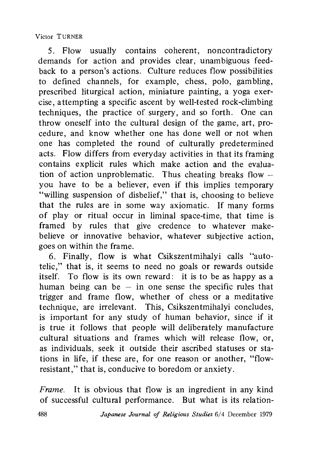5. Flow usually contains coherent, noncontradictory demands for action and provides clear, unambiguous feedback to a person's actions. Culture reduces flow possibilities to defined channels, for example, chess, polo, gambling, prescribed liturgical action, miniature painting, a yoga exercise, attempting a specific ascent by well-tested rock-climbing techniques, the practice of surgery, and so forth. One can throw oneself into the cultural design of the game, art, procedure, and know whether one has done well or not when one has completed the round of culturally predetermined acts. Flow differs from everyday activities in that its framing contains explicit rules which make action and the evaluation of action unproblematic. Thus cheating breaks flow  $$ you have to be a believer, even if this implies temporary "willing suspension of disbelief," that is, choosing to believe that the rules are in some way axiomatic. If many forms of play or ritual occur in liminal space-time, that time is framed by rules that give credence to whatever makebelieve or innovative behavior, whatever subjective action, goes on within the frame.

6. Finally, flow is what Csikszentmihalyi calls "autotelic," that is, it seems to need no goals or rewards outside itself. To flow is its own reward: it is to be as happy as a human being can be  $-$  in one sense the specific rules that trigger and frame flow, whether of chess or a meditative technique, are irrelevant. This, Csikszentmihalyi concludes, is important for any study of human behavior, since if it is true it follows that people will deliberately manufacture cultural situations and frames which will release flow, or, as individuals, seek it outside their ascribed statuses or stations in life, if these are, for one reason or another, "flowresistant," that is, conducive to boredom or anxiety.

*Frame.* It is obvious that flow is an ingredient in any kind of successful cultural performance. But what is its relation-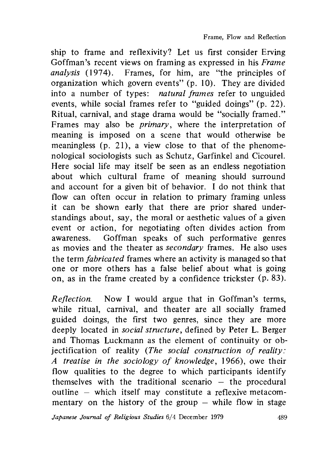ship to frame and reflexivity? Let us first consider Erving Goffman's recent views on framing as expressed in his *Frame analysis* (1974). Frames, for him, are "the principles of organization which govern events" (p. 10). They are divided into a number of types: *natural frames* refer to unguided events, while social frames refer to "guided doings" (p. 22). Ritual, carnival, and stage drama would be "socially framed." Frames may also be *primary* where the interpretation of meaning is imposed on a scene that would otherwise be meaningless  $(p, 21)$ , a view close to that of the phenomenological sociologists such as Schutz, Garfinkel and Cicourel. Here social life may itself be seen as an endless negotiation about which cultural frame of meaning should surround and account for a given bit of behavior. I do not think that flow can often occur in relation to primary framing unless it can be shown early that there are prior shared understandings about, say, the moral or aesthetic values of a given event or action, for negotiating often divides action from awareness. Goffman speaks of such performative genres as movies and the theater as *secondary* frames. He also uses the term *fabricated* frames where an activity is managed so that one or more others has a false belief about what is going on, as in the frame created by a confidence trickster (p. 83).

*Reflection.* Now I would argue that in Goffman's terms, while ritual, carnival, and theater are all socially framed guided doings, the first two genres, since they are more deeply located in *social structure*, defined by Peter L. Berger and Thomas Luckmann as the element of continuity or objectification of reality *{The social construction of reality: A treatise in the sociology of knowledge,* 1966),owe their flow qualities to the degree to which participants identify themselves with the traditional scenario — the procedural outline — which itself may constitute a reflexive metacommentary on the history of the group  $-$  while flow in stage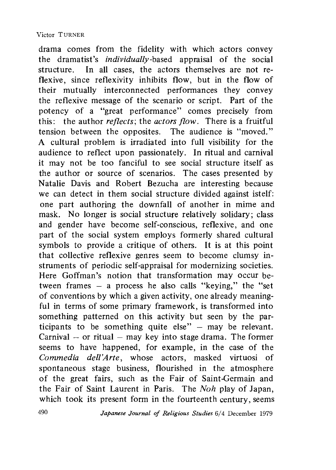drama comes from the fidelity with which actors convey the dramatist's *individually-based* appraisal of the social structure. In all cases, the actors themselves are not reflexive, since reflexivity inhibits flow, but in the flow of their mutually interconnected performances they convey the reflexive message of the scenario or script. Part of the potency of a "great performance" comes precisely from this: the author *reflects*; the *actors flow*. There is a fruitful tension between the opposites. The audience is "moved." A cultural problem is irradiated into full visibility for the audience to reflect upon passionately. In ritual and carnival it may not be too fanciful to see social structure itself as the author or source of scenarios. The cases presented by Natalie Davis and Robert Bezucha are interesting because we can detect in them social structure divided against istelf: one part authoring the downfall of another in mime and mask. No longer is social structure relatively solidary; class and gender have become self-conscious, reflexive, and one part of the social system employs formerly shared cultural symbols to provide a critique of others. It is at this point that collective reflexive genres seem to become clumsy instruments of periodic self-appraisal for modernizing societies. Here Goffman's notion that transformation may occur between frames  $-$  a process he also calls "keying," the "set of conventions by which a given activity, one already meaningful in terms of some primary framework, is transformed into something patterned on this activity but seen by the participants to be something quite else" *—* may be relevant. Carnival — or ritual — may key into stage drama. The former seems to have happened, for example, in the case of the *Commedia delVArte,* whose actors, masked virtuosi of spontaneous stage business, flourished in the atmosphere of the great fairs, such as the Fair of Saint-Germain and the Fair of Saint Laurent in Paris. The *Noh* play of Japan, which took its present form in the fourteenth century, seems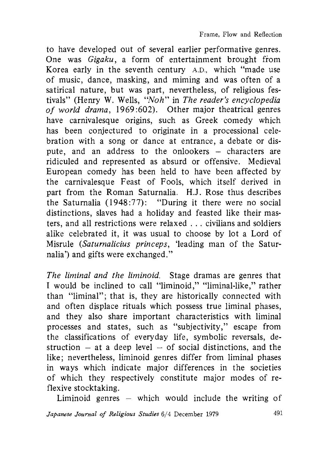to have developed out of several earlier performative genres. One was *Gigaku*,a form of entertainment brought from Korea early in the seventh century  $A.D.,$  which "made use of music, dance, masking, and miming and was often of a satirical nature, but was part, nevertheless, of religious festivals" (Henry W. Wells, "Noh" in *The reader's encyclopedia of world drama,* 1969:602). Other major theatrical genres have carnivalesque origins, such as Greek comedy which has been conjectured to originate in a processional celebration with a song or dance at entrance, a debate or dispute, and an address to the onlookers — characters are ridiculed and represented as absurd or offensive. Medieval European comedy has been held to have been affected by the carnivalesque Feast of Fools, which itself derived in part from the Roman Saturnalia. H.J. Rose thus describes the Saturnalia (1948:77): "During it there were no social distinctions, slaves had a holiday and feasted like their masters, and all restrictions were relaxed . . . civilians and soldiers alike celebrated it, it was usual to choose by lot a Lord of Misrule *{Saturnalicius princeps* 'leading man of the Saturnalia') and gifts were exchanged."

*The liminal and the liminoid.* Stage dramas are genres that I would be inclined to call "liminoid," "liminal-like," rather than "liminal"; that is, they are historically connected with and often displace rituals which possess true liminal phases, and they also share important characteristics with liminal processes and states, such as "subjectivity," escape from the classifications of everyday life, symbolic reversals destruction  $-$  at a deep level  $-$  of social distinctions, and the like; nevertheless, liminoid genres differ from liminal phases in ways which indicate major differences in the societies of which they respectively constitute major modes of reflexive stocktaking.

Liminoid genres  $-$  which would include the writing of *Japanese Journal of Religious Studies* 6/4 December 1979 491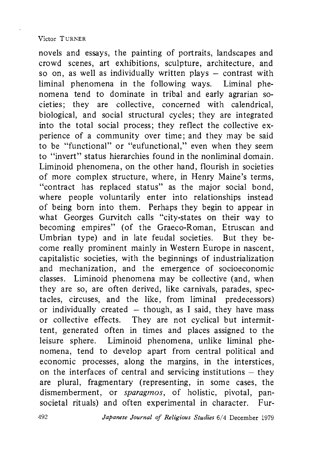novels and essays, the painting of portraits, landscapes and crowd scenes, art exhibitions, sculpture, architecture, and so on, as well as individually written plays — contrast with liminal phenomena in the following ways. Liminal phenomena tend to dominate in tribal and early agrarian societies; they are collective, concerned with calendrical, biological, and social structural cycles; they are integrated into the total social process; they reflect the collective experience of a community over time; and they may be said to be "functional" or "eufunctional," even when they seem to "invert" status hierarchies found in the nonliminal domain. Liminoid phenomena, on the other hand, flourish in societies of more complex structure, where, in Henry Maine's terms, "contract has replaced status" as the major social bond, where people voluntarily enter into relationships instead of being born into them. Perhaps they begin to appear in what Georges Gurvitch calls "city-states on their way to becoming empires" (of the Graeco-Roman, Etruscan and Umbrian type) and in late feudal societies. But they become really prominent mainly in Western Europe in nascent, capitalistic societies, with the beginnings of industrialization and mechanization, and the emergence of socioeconomic classes. Liminoid phenomena may be collective (and, when they are so, are often derived, like carnivals, parades, spectacles, circuses, and the like, from liminal predecessors) or individually created *—* though, as I said, they have mass or collective effects. They are not cyclical but intermittent, generated often in times and places assigned to the leisure sphere. Liminoid phenomena, unlike liminal phenomena, tend to develop apart from central political and economic processes, along the margins, in the interstices, on the interfaces of central and servicing institutions  $-$  they are plural, fragmentary (representing, in some cases, the dismemberment, or *sparagmos*, of holistic, pivotal, pansocietal rituals) and often experimental in character. Fur-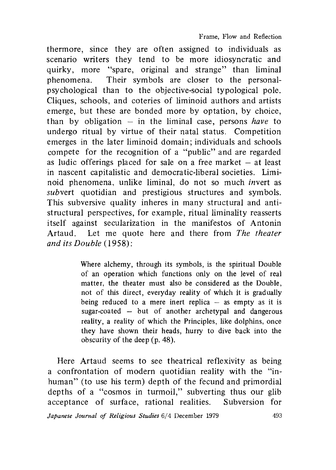thermore, since they are often assigned to individuals as scenario writers they tend to be more idiosyncratic and quirky, more "spare, original and strange" than liminal phenomena. Their symbols are closer to the personalpsychological than to the objective-social typological pole. Cliques, schools, and coteries of liminoid authors and artists emerge, but these are bonded more by optation, by choice, than by obligation — in the liminal case, persons *have* to undergo ritual by virtue of their natal status. Competition emerges in the later liminoid domain; individuals and schools compete for the recognition of a "public" and are regarded as ludic offerings placed for sale on a free market  $-$  at least in nascent capitalistic and democratic-liberal societies. Liminoid phenomena, unlike liminal, do not so much *invert* as *subvert* quotidian and prestigious structures and symbols. This subversive quality inheres in many structural and antistructural perspectives, for example, ritual liminality reasserts itself against secularization in the manifestos of Antonin Artaud. Let me quote here and there from *The theater and its Double* (1958):

> Where alchemy, through its symbols, is the spiritual Double of an operation which functions only on the level of real matter, the theater must also be considered as the Double, not of this direct, everyday reality of which it is gradually being reduced to a mere inert replica  $-$  as empty as it is sugar-coated — but of another archetypal and dangerous reality, a reality of which the Principles, like dolphins, once they have shown their heads, hurry to dive back into the obscurity of the deep (p. 48).

Here Artaud seems to see theatrical reflexivity as being a confrontation of modern quotidian reality with the "inhuman" (to use his term) depth of the fecund and primordial depths of a "cosmos in turmoil," subverting thus our glib acceptance of surface, rational realities. Subversion for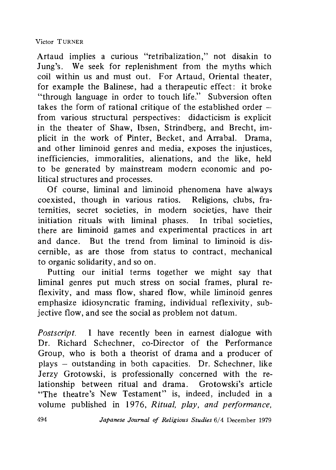Artaud implies a curious "retribalization," not disakin to Jung's. We seek for replenishment from the myths which coil within us and must out. For Artaud, Oriental theater, for example the Balinese, had a therapeutic effect: it broke "through language in order to touch life." Subversion often takes the form of rational critique of the established order from various structural perspectives: didacticism is explicit in the theater of Shaw, Ibsen, Strindberg, and Brecht, implicit in the work of Pinter, Becket, and Arrabal. Drama, and other liminoid genres and media, exposes the injustices, inefficiencies, immoralities, alienations, and the like, held to be generated by mainstream modern economic and political structures and processes.

Of course, liminal and liminoid phenomena have always coexisted, though in various ratios. Religions, clubs, fraternities, secret societies, in modern societies, have their initiation rituals with liminal phases. In tribal societies, there are liminoid games and experimental practices in art and dance. But the trend from liminal to liminoid is discernible, as are those from status to contract, mechanical to organic solidarity, and so on.

Putting our initial terms together we might say that liminal genres put much stress on social frames, plural reflexivity, and mass flow, shared flow, while liminoid genres emphasize idiosyncratic framing, individual reflexivity, subjective flow, and see the social as problem not datum.

*Postscript.* I have recently been in earnest dialogue with Dr. Richard Schechner, co-Director of the Performance Group, who is both a theorist of drama and a producer of plays — outstanding in both capacities. Dr. Schechner, like Jerzy Grotowski, is professionally concerned with the relationship between ritual and drama. Grotowski's article "The theatre's New Testament" is, indeed, included in a volume published in 1976, *Ritual, play, and performance*,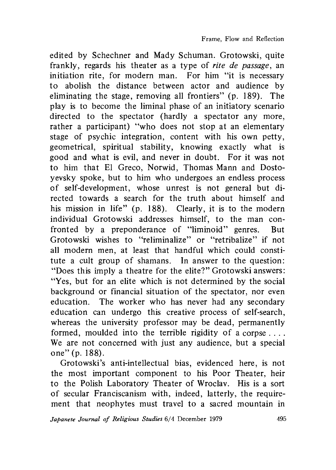edited by Schechner and Mady Schuman. Grotowski, quite frankly, regards his theater as a type of *rite de passage,* an initiation rite, for modern man. For him "it is necessary to abolish the distance between actor and audience by eliminating the stage, removing all frontiers" (p. 189). The play is to become the liminal phase of an initiatory scenario directed to the spectator (hardly a spectator any more, rather a participant) "who does not stop at an elementary stage of psychic integration, content with his own petty, geometrical, spiritual stability, knowing exactly what is good and what is evil, and never in doubt. For it was not to him that El Greco, Norwid, Thomas Mann and Dostoyevsky spoke, but to him who undergoes an endless process of self-development, whose unrest is not general but directed towards a search for the truth about himself and his mission in life" (p. 188). Clearly, it is to the modern individual Grotowski addresses himself, to the man confronted by a preponderance of "liminoid" genres. But Grotowski wishes to "reliminalize" or "retribalize" if not all modern men, at least that handful which could constitute a cult group of shamans. In answer to the question: "Does this imply a theatre for the elite?" Grotowski answers: "Yes, but for an elite which is not determined by the social background or financial situation of the spectator, nor even education. The worker who has never had any secondary education can undergo this creative process of self-search, whereas the university professor may be dead, permanently formed, moulded into the terrible rigidity of a corpse  $\dots$ We are not concerned with just any audience, but a special one" (p. 188).

Grotowski's anti-intellectual bias, evidenced here, is not the most important component to his Poor Theater, heir to the Polish Laboratory Theater of Wroclav. His is a sort of secular Franciscanism with, indeed, latterly, the requirement that neophytes must travel to a sacred mountain in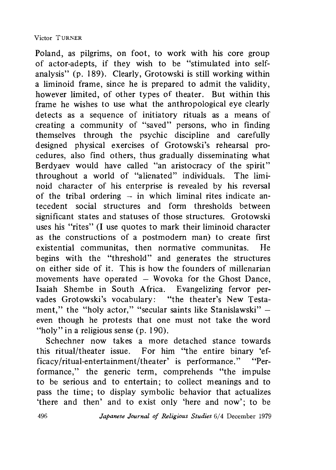Poland, as pilgrims, on foot, to work with his core group of actor-adepts, if they wish to be "stimulated into selfanalysis" (p. 189). Clearly, Grotowski is still working within a liminoid frame, since he is prepared to admit the validity, however limited, of other types of theater. But within this frame he wishes to use what the anthropological eye clearly detects as a sequence of initiatory rituals as a means of creating a community of "saved" persons, who in finding themselves through the psychic discipline and carefully designed physical exercises of Grotowski's rehearsal procedures, also find others, thus gradually disseminating what Berdyaev would have called "an aristocracy of the spirit" throughout a world of "alienated" individuals. The liminoid character of his enterprise is revealed by his reversal of the tribal ordering  $-$  in which liminal rites indicate antecedent social structures and form thresholds between significant states and statuses of those structures. Grotowski uses his "rites" (I use quotes to mark their liminoid character as the constructions of a postmodern man) to create first existential communitas, then normative communitas. He begins with the "threshold" and generates the structures on either side of it. This is how the founders of millenarian movements have operated — Wovoka for the Ghost Dance, Isaiah Shembe in South Africa. Evangelizing fervor pervades Grotowski's vocabulary: "the theater's New Testament," the "holy actor," "secular saints like Stanislawski"  $$ even though he protests that one must not take the word "holy" in a religious sense (p. 190).

Schechner now takes a more detached stance towards this ritual/theater issue. For him "the entire binary 'efficacy/ritual-entertainment/theater' is performance." "Performance," the generic term, comprehends "the impulse to be serious and to entertain; to collect meanings and to pass the time; to display symbolic behavior that actualizes 'there and then' and to exist only 'here and now'; to be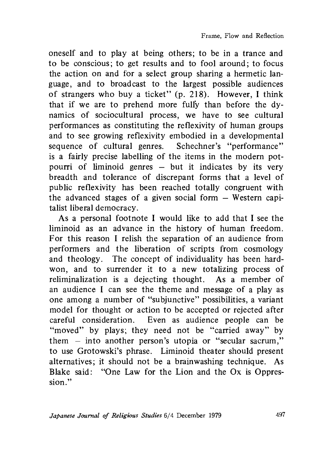oneself and to play at being others; to be in a trance and to be conscious; to get results and to fool around; to focus the action on and for a select group sharing a hermetic language, and to broadcast to the largest possible audiences of strangers who buy a ticket" (p. 218). However, I think that if we are to prehend more fully than before the dynamics of sociocultural process, we have to see cultural performances as constituting the reflexivity of human groups and to see growing reflexivity embodied in a developmental sequence of cultural genres. Schechner's "performance" is a fairly precise labelling of the items in the modern potpourri of liminoid genres — but it indicates by its very breadth and tolerance of discrepant forms that a level of public reflexivity has been reached totally congruent with the advanced stages of a given social form — Western capitalist liberal democracy.

As a personal footnote I would like to add that I see the liminoid as an advance in the history of human freedom. For this reason I relish the separation of an audience from performers and the liberation of scripts from cosmology and theology. The concept of individuality has been hardwon, and to surrender it to a new totalizing process of reliminalization is a dejecting thought. As a member of an audience I can see the theme and message of a play as one among a number of "subjunctive" possibilities,a variant model for thought or action to be accepted or rejected after careful consideration. Even as audience people can be "moved" by plays; they need not be "carried away" by them — into another person's utopia or "secular sacrum," to use Grotowski's phrase. Liminoid theater should present alternatives; it should not be a brainwashing technique. As Blake said: "One Law for the Lion and the Ox is Oppression."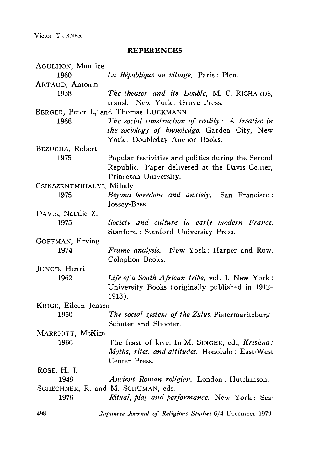# **REFERENCES**

| AGULHON, Maurice                     |                                                         |
|--------------------------------------|---------------------------------------------------------|
| 1960                                 | La République au village. Paris : Plon.                 |
| ARTAUD, Antonin                      |                                                         |
| 1958                                 | The theater and its Double, M. C. RICHARDS,             |
|                                      | transl. New York: Grove Press.                          |
| BERGER, Peter L, and Thomas LUCKMANN |                                                         |
| 1966                                 | The social construction of reality: A treatise in       |
|                                      | the sociology of knowledge. Garden City, New            |
|                                      | York: Doubleday Anchor Books.                           |
| BEZUCHA, Robert                      |                                                         |
| 1975                                 | Popular festivities and politics during the Second      |
|                                      | Republic. Paper delivered at the Davis Center,          |
|                                      | Princeton University.                                   |
| CSIKSZENTMIHALYI, Mihaly             |                                                         |
| 1975                                 | Beyond boredom and anxiety. San Francisco:              |
|                                      | Jossey-Bass.                                            |
| DAVIS, Natalie Z.                    |                                                         |
| 1975                                 | Society and culture in early modern France.             |
|                                      | Stanford : Stanford University Press.                   |
| GOFFMAN, Erving                      |                                                         |
| 1974                                 | Frame analysis. New York: Harper and Row,               |
|                                      | Colophon Books.                                         |
| JUNOD, Henri                         |                                                         |
| 1962                                 | Life of a South African tribe, vol. 1. New York:        |
|                                      | University Books (originally published in 1912-         |
|                                      | 1913).                                                  |
| KRIGE, Eileen Jensen                 |                                                         |
| 1950                                 | The social system of the Zulus. Pietermaritzburg:       |
|                                      | Schuter and Shooter.                                    |
| MARRIOTT, McKim                      |                                                         |
| 1966                                 | The feast of love. In M. SINGER, ed., Krishna:          |
|                                      | Myths, rites, and attitudes. Honolulu: East-West        |
|                                      | Center Press.                                           |
| ROSE, H. J.                          |                                                         |
| 1948                                 | Ancient Roman religion. London: Hutchinson.             |
|                                      | SCHECHNER, R. and M. SCHUMAN, eds.                      |
| 1976                                 | Ritual, play and performance. New York: Sea-            |
| 498                                  | Japanese Journal of Religious Studies 6/4 December 1979 |

÷